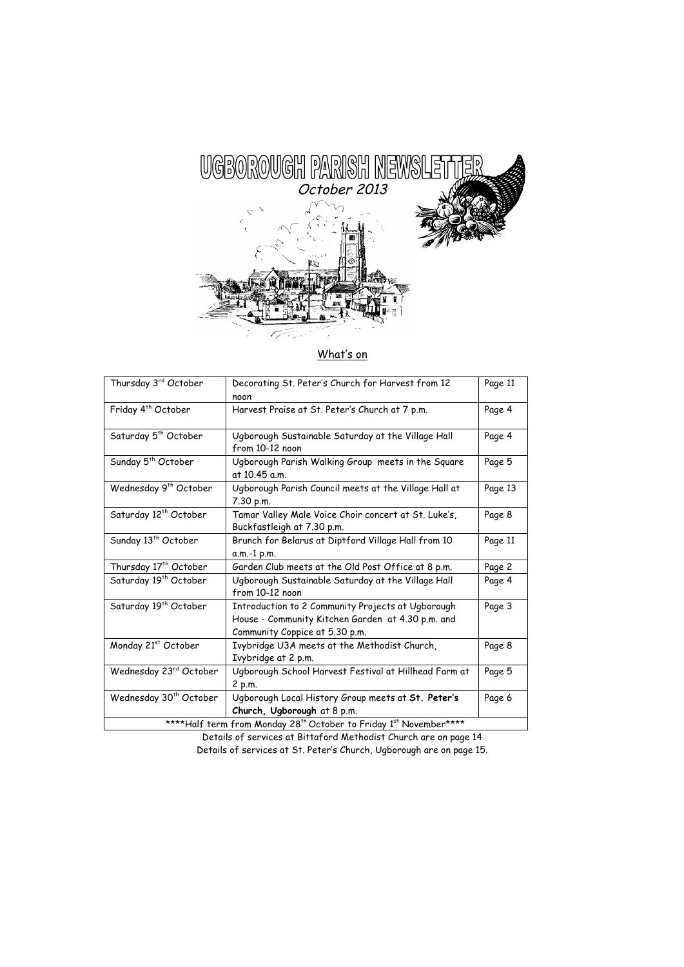

# What's on

| Thursday 3rd October                                                                                                                                                                                                                                                                                                             | Decorating St. Peter's Church for Harvest from 12                                                                                        | Page 11 |
|----------------------------------------------------------------------------------------------------------------------------------------------------------------------------------------------------------------------------------------------------------------------------------------------------------------------------------|------------------------------------------------------------------------------------------------------------------------------------------|---------|
|                                                                                                                                                                                                                                                                                                                                  | noon                                                                                                                                     |         |
| Friday 4 <sup>th</sup> October                                                                                                                                                                                                                                                                                                   | Harvest Praise at St. Peter's Church at 7 p.m.                                                                                           | Page 4  |
| Saturday 5 <sup>th</sup> October                                                                                                                                                                                                                                                                                                 | Ugborough Sustainable Saturday at the Village Hall<br>from 10-12 noon                                                                    | Page 4  |
| Sunday 5 <sup>th</sup> October                                                                                                                                                                                                                                                                                                   | Ugborough Parish Walking Group meets in the Square<br>at 10.45 a.m.                                                                      | Page 5  |
| Wednesday 9 <sup>th</sup> October                                                                                                                                                                                                                                                                                                | Ugborough Parish Council meets at the Village Hall at<br>7.30 p.m.                                                                       | Page 13 |
| Saturday 12 <sup>th</sup> October                                                                                                                                                                                                                                                                                                | Tamar Valley Male Voice Choir concert at St. Luke's,<br>Buckfastleigh at 7.30 p.m.                                                       | Page 8  |
| Sunday 13 <sup>th</sup> October                                                                                                                                                                                                                                                                                                  | Brunch for Belarus at Diptford Village Hall from 10<br>a.m.-1 p.m.                                                                       | Page 11 |
| Thursday 17th October                                                                                                                                                                                                                                                                                                            | Garden Club meets at the Old Post Office at 8 p.m.                                                                                       | Page 2  |
| Saturday 19 <sup>th</sup> October                                                                                                                                                                                                                                                                                                | Ugborough Sustainable Saturday at the Village Hall<br>from 10-12 noon                                                                    | Page 4  |
| Saturday 19 <sup>th</sup> October                                                                                                                                                                                                                                                                                                | Introduction to 2 Community Projects at Ugborough<br>House - Community Kitchen Garden at 4.30 p.m. and<br>Community Coppice at 5.30 p.m. | Page 3  |
| Monday 21st October                                                                                                                                                                                                                                                                                                              | Ivybridge U3A meets at the Methodist Church,<br>Ivybridge at 2 p.m.                                                                      | Page 8  |
| Wednesday 23rd October                                                                                                                                                                                                                                                                                                           | Ugborough School Harvest Festival at Hillhead Farm at<br>2 p.m.                                                                          | Page 5  |
| Wednesday 30 <sup>th</sup> October                                                                                                                                                                                                                                                                                               | Ugborough Local History Group meets at St. Peter's                                                                                       | Page 6  |
|                                                                                                                                                                                                                                                                                                                                  | Church, Ugborough at 8 p.m.                                                                                                              |         |
| $\mathcal{L}$ and $\mathcal{L}$ and $\mathcal{L}$ and $\mathcal{L}$ and $\mathcal{L}$ and $\mathcal{L}$ and $\mathcal{L}$ and $\mathcal{L}$ and $\mathcal{L}$ and $\mathcal{L}$ and $\mathcal{L}$ and $\mathcal{L}$ and $\mathcal{L}$ and $\mathcal{L}$ and $\mathcal{L}$ and $\mathcal{L}$ and $\mathcal{L}$ and<br>****** 16 L |                                                                                                                                          |         |

\*\*\*\*Half term from Monday 28<sup>th</sup> October to Friday 1st November\*\*\*\*

Details of services at Bittaford Methodist Church are on page 14 Details of services at St. Peter's Church, Ugborough are on page 15.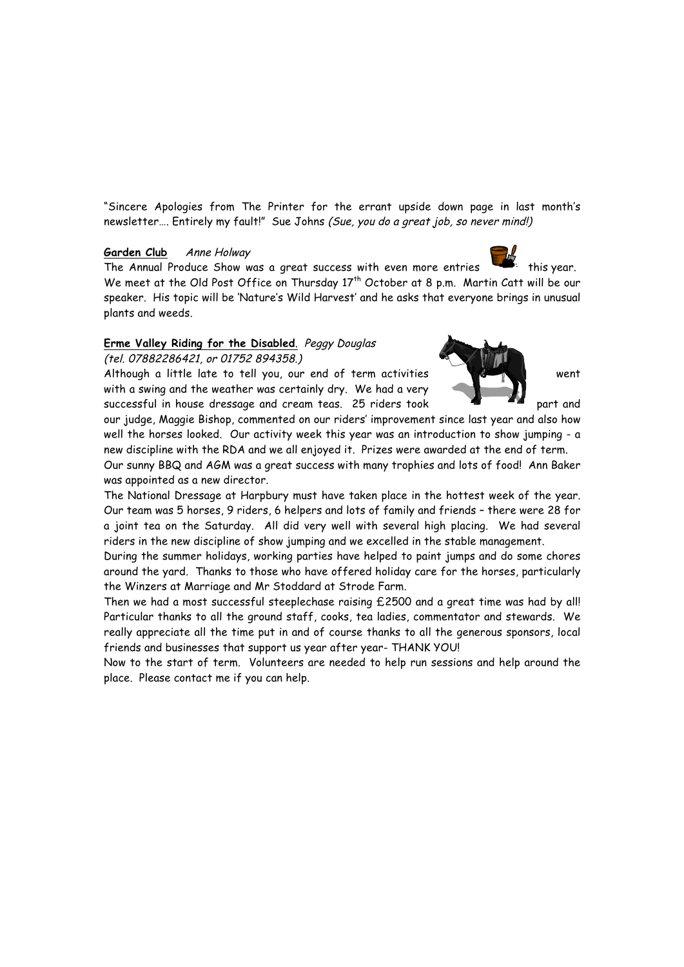"Sincere Apologies from The Printer for the errant upside down page in last month's newsletter.... Entirely my fault!" Sue Johns (Sue, you do a great job, so never mind!)

## Garden Club Anne Holway

The Annual Produce Show was a great success with even more entries this year. We meet at the Old Post Office on Thursday 17<sup>th</sup> October at 8 p.m. Martin Catt will be our speaker. His topic will be 'Nature's Wild Harvest' and he asks that everyone brings in unusual plants and weeds.

# **Erme Valley Riding for the Disabled**. Peggy Douglas

(tel. 07882286421, or 01752 894358.)

Although a little late to tell you, our end of term activities went with a swing and the weather was certainly dry. We had a very successful in house dressage and cream teas. 25 riders took  $\blacksquare$   $\blacksquare$  part and

our judge, Maggie Bishop, commented on our riders' improvement since last year and also how well the horses looked. Our activity week this year was an introduction to show jumping - a new discipline with the RDA and we all enjoyed it. Prizes were awarded at the end of term.

Our sunny BBQ and AGM was a great success with many trophies and lots of food! Ann Baker was appointed as a new director.

The National Dressage at Harpbury must have taken place in the hottest week of the year. Our team was 5 horses, 9 riders, 6 helpers and lots of family and friends – there were 28 for a joint tea on the Saturday. All did very well with several high placing. We had several riders in the new discipline of show jumping and we excelled in the stable management.

During the summer holidays, working parties have helped to paint jumps and do some chores around the yard. Thanks to those who have offered holiday care for the horses, particularly the Winzers at Marriage and Mr Stoddard at Strode Farm.

Then we had a most successful steeplechase raising £2500 and a great time was had by all! Particular thanks to all the ground staff, cooks, tea ladies, commentator and stewards. We really appreciate all the time put in and of course thanks to all the generous sponsors, local friends and businesses that support us year after year- THANK YOU!

Now to the start of term. Volunteers are needed to help run sessions and help around the place. Please contact me if you can help.

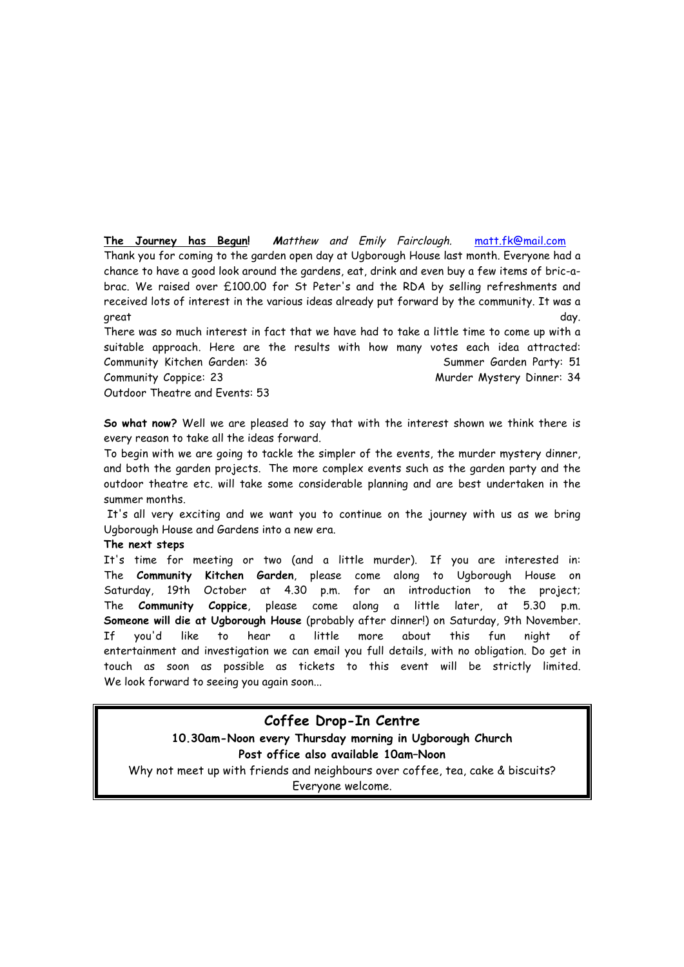**The Journey has Begun! M**atthew and Emily Fairclough. matt.fk@mail.com Thank you for coming to the garden open day at Ugborough House last month. Everyone had a chance to have a good look around the gardens, eat, drink and even buy a few items of bric-abrac. We raised over £100.00 for St Peter's and the RDA by selling refreshments and received lots of interest in the various ideas already put forward by the community. It was a great day.

There was so much interest in fact that we have had to take a little time to come up with a suitable approach. Here are the results with how many votes each idea attracted: Community Kitchen Garden: 36 Summer Garden Party: 51 Community Coppice: 23 Community Coppice: 23 Community Coppice: 23 Outdoor Theatre and Events: 53

**So what now?** Well we are pleased to say that with the interest shown we think there is every reason to take all the ideas forward.

To begin with we are going to tackle the simpler of the events, the murder mystery dinner, and both the garden projects. The more complex events such as the garden party and the outdoor theatre etc. will take some considerable planning and are best undertaken in the summer months.

It's all very exciting and we want you to continue on the journey with us as we bring Ugborough House and Gardens into a new era.

#### **The next steps**

It's time for meeting or two (and a little murder). If you are interested in: The **Community Kitchen Garden**, please come along to Ugborough House on Saturday, 19th October at 4.30 p.m. for an introduction to the project; The **Community Coppice**, please come along a little later, at 5.30 p.m. **Someone will die at Ugborough House** (probably after dinner!) on Saturday, 9th November. If you'd like to hear a little more about this fun night of entertainment and investigation we can email you full details, with no obligation. Do get in touch as soon as possible as tickets to this event will be strictly limited. We look forward to seeing you again soon...

**Coffee Drop-In Centre 10.30am-Noon every Thursday morning in Ugborough Church Post office also available 10am–Noon** Why not meet up with friends and neighbours over coffee, tea, cake & biscuits? Everyone welcome.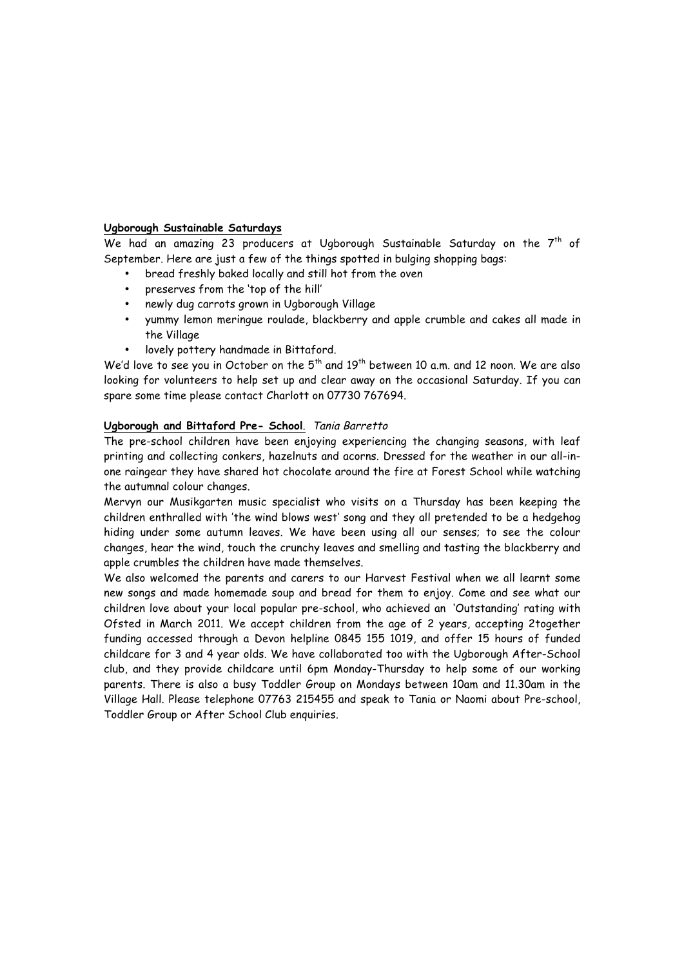#### **Ugborough Sustainable Saturdays**

We had an amazing 23 producers at Ugborough Sustainable Saturday on the  $7<sup>th</sup>$  of September. Here are just a few of the things spotted in bulging shopping bags:

- bread freshly baked locally and still hot from the oven
- preserves from the 'top of the hill'
- newly dug carrots grown in Ugborough Village
- yummy lemon meringue roulade, blackberry and apple crumble and cakes all made in the Village
- lovely pottery handmade in Bittaford.

We'd love to see you in October on the  $5<sup>th</sup>$  and  $19<sup>th</sup>$  between 10 a.m. and 12 noon. We are also looking for volunteers to help set up and clear away on the occasional Saturday. If you can spare some time please contact Charlott on 07730 767694.

## **Ugborough and Bittaford Pre- School**. Tania Barretto

The pre-school children have been enjoying experiencing the changing seasons, with leaf printing and collecting conkers, hazelnuts and acorns. Dressed for the weather in our all-inone raingear they have shared hot chocolate around the fire at Forest School while watching the autumnal colour changes.

Mervyn our Musikgarten music specialist who visits on a Thursday has been keeping the children enthralled with 'the wind blows west' song and they all pretended to be a hedgehog hiding under some autumn leaves. We have been using all our senses; to see the colour changes, hear the wind, touch the crunchy leaves and smelling and tasting the blackberry and apple crumbles the children have made themselves.

We also welcomed the parents and carers to our Harvest Festival when we all learnt some new songs and made homemade soup and bread for them to enjoy. Come and see what our children love about your local popular pre-school, who achieved an 'Outstanding' rating with Ofsted in March 2011. We accept children from the age of 2 years, accepting 2together funding accessed through a Devon helpline 0845 155 1019, and offer 15 hours of funded childcare for 3 and 4 year olds. We have collaborated too with the Ugborough After-School club, and they provide childcare until 6pm Monday-Thursday to help some of our working parents. There is also a busy Toddler Group on Mondays between 10am and 11.30am in the Village Hall. Please telephone 07763 215455 and speak to Tania or Naomi about Pre-school, Toddler Group or After School Club enquiries.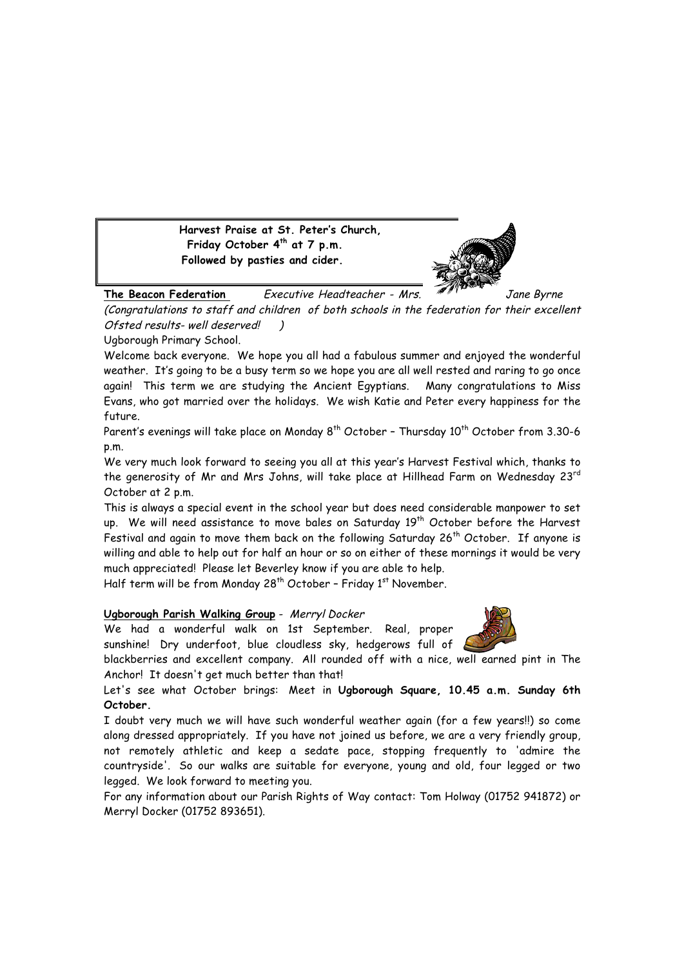**Harvest Praise at St. Peter's Church, Friday October 4th at 7 p.m. Followed by pasties and cider.**



**The Beacon Federation** Executive Headteacher - Mrs. **In the State Byrne** (Congratulations to staff and children of both schools in the federation for their excellent Ofsted results- well deserved! )

Ugborough Primary School.

Welcome back everyone. We hope you all had a fabulous summer and enjoyed the wonderful weather. It's going to be a busy term so we hope you are all well rested and raring to go once again! This term we are studying the Ancient Egyptians. Many congratulations to Miss Evans, who got married over the holidays. We wish Katie and Peter every happiness for the future.

Parent's evenings will take place on Monday  $8^{th}$  October - Thursday  $10^{th}$  October from 3.30-6 p.m.

We very much look forward to seeing you all at this year's Harvest Festival which, thanks to the generosity of Mr and Mrs Johns, will take place at Hillhead Farm on Wednesday 23<sup>rd</sup> October at 2 p.m.

This is always a special event in the school year but does need considerable manpower to set up. We will need assistance to move bales on Saturday 19<sup>th</sup> October before the Harvest Festival and again to move them back on the following Saturday 26<sup>th</sup> October. If anyone is willing and able to help out for half an hour or so on either of these mornings it would be very much appreciated! Please let Beverley know if you are able to help.

Half term will be from Monday 28<sup>th</sup> October – Friday 1<sup>st</sup> November.

## **Ugborough Parish Walking Group** - Merryl Docker

We had a wonderful walk on 1st September. Real, proper sunshine! Dry underfoot, blue cloudless sky, hedgerows full of

blackberries and excellent company. All rounded off with a nice, well earned pint in The Anchor! It doesn't get much better than that!

Let's see what October brings: Meet in **Ugborough Square, 10.45 a.m. Sunday 6th October.**

I doubt very much we will have such wonderful weather again (for a few years!!) so come along dressed appropriately. If you have not joined us before, we are a very friendly group, not remotely athletic and keep a sedate pace, stopping frequently to 'admire the countryside'. So our walks are suitable for everyone, young and old, four legged or two legged. We look forward to meeting you.

For any information about our Parish Rights of Way contact: Tom Holway (01752 941872) or Merryl Docker (01752 893651).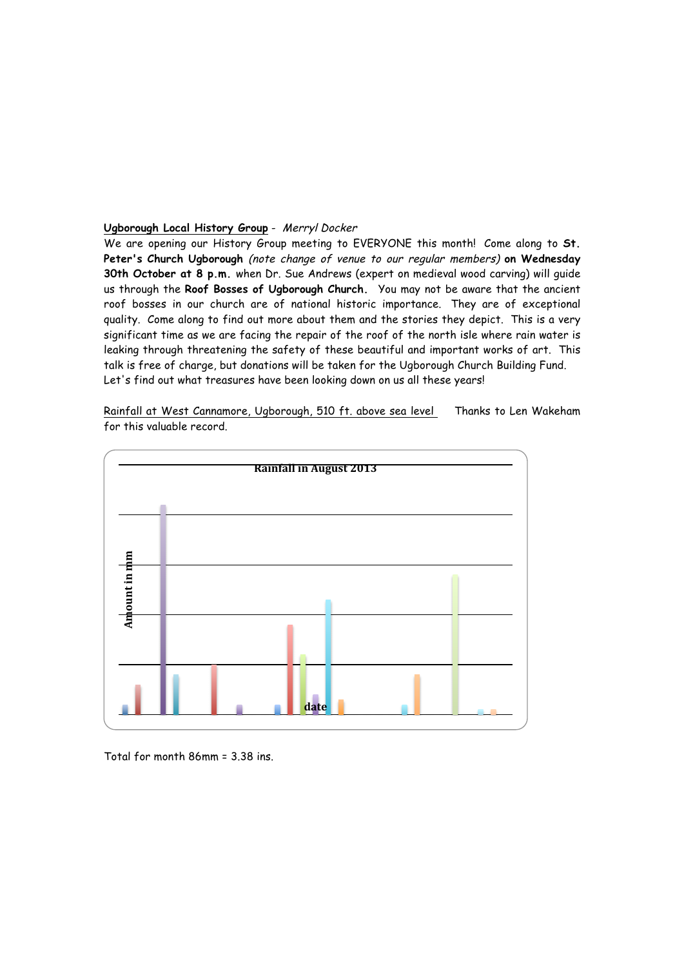#### **Ugborough Local History Group** - Merryl Docker

We are opening our History Group meeting to EVERYONE this month! Come along to **St. Peter's Church Ugborough** (note change of venue to our regular members) **on Wednesday 30th October at 8 p.m.** when Dr. Sue Andrews (expert on medieval wood carving) will guide us through the **Roof Bosses of Ugborough Church.** You may not be aware that the ancient roof bosses in our church are of national historic importance. They are of exceptional quality. Come along to find out more about them and the stories they depict. This is a very significant time as we are facing the repair of the roof of the north isle where rain water is leaking through threatening the safety of these beautiful and important works of art. This talk is free of charge, but donations will be taken for the Ugborough Church Building Fund. Let's find out what treasures have been looking down on us all these years!

Rainfall at West Cannamore, Ugborough, 510 ft. above sea level Thanks to Len Wakeham for this valuable record.

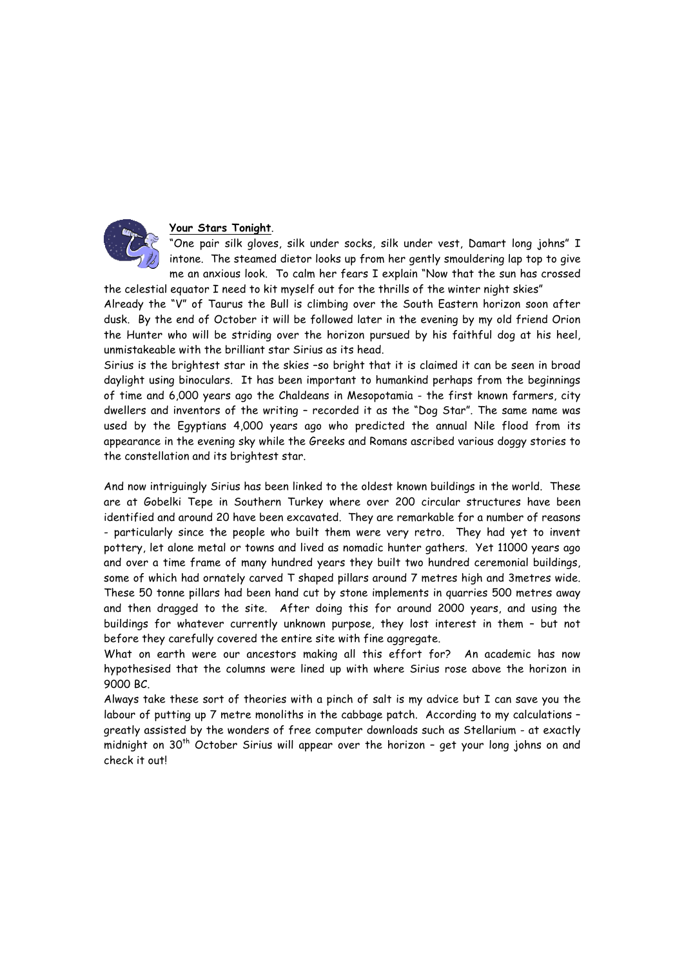

#### **Your Stars Tonight**.

"One pair silk gloves, silk under socks, silk under vest, Damart long johns" I intone. The steamed dietor looks up from her gently smouldering lap top to give me an anxious look. To calm her fears I explain "Now that the sun has crossed

the celestial equator I need to kit myself out for the thrills of the winter night skies"

Already the "V" of Taurus the Bull is climbing over the South Eastern horizon soon after dusk. By the end of October it will be followed later in the evening by my old friend Orion the Hunter who will be striding over the horizon pursued by his faithful dog at his heel, unmistakeable with the brilliant star Sirius as its head.

Sirius is the brightest star in the skies –so bright that it is claimed it can be seen in broad daylight using binoculars. It has been important to humankind perhaps from the beginnings of time and 6,000 years ago the Chaldeans in Mesopotamia - the first known farmers, city dwellers and inventors of the writing – recorded it as the "Dog Star". The same name was used by the Egyptians 4,000 years ago who predicted the annual Nile flood from its appearance in the evening sky while the Greeks and Romans ascribed various doggy stories to the constellation and its brightest star.

And now intriguingly Sirius has been linked to the oldest known buildings in the world. These are at Gobelki Tepe in Southern Turkey where over 200 circular structures have been identified and around 20 have been excavated. They are remarkable for a number of reasons - particularly since the people who built them were very retro. They had yet to invent pottery, let alone metal or towns and lived as nomadic hunter gathers. Yet 11000 years ago and over a time frame of many hundred years they built two hundred ceremonial buildings, some of which had ornately carved T shaped pillars around 7 metres high and 3metres wide. These 50 tonne pillars had been hand cut by stone implements in quarries 500 metres away and then dragged to the site. After doing this for around 2000 years, and using the buildings for whatever currently unknown purpose, they lost interest in them – but not before they carefully covered the entire site with fine aggregate.

What on earth were our ancestors making all this effort for? An academic has now hypothesised that the columns were lined up with where Sirius rose above the horizon in 9000 BC.

Always take these sort of theories with a pinch of salt is my advice but I can save you the labour of putting up 7 metre monoliths in the cabbage patch. According to my calculations – greatly assisted by the wonders of free computer downloads such as Stellarium - at exactly midnight on 30<sup>th</sup> October Sirius will appear over the horizon - get your long johns on and check it out!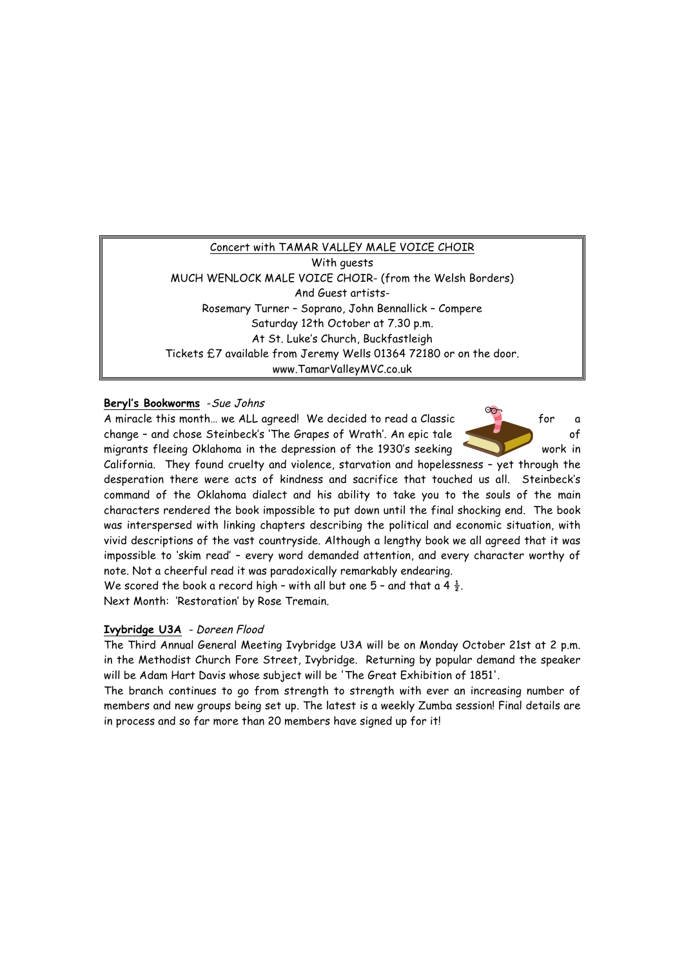# Concert with TAMAR VALLEY MALE VOICE CHOIR

With guests MUCH WENLOCK MALE VOICE CHOIR- (from the Welsh Borders) And Guest artists-Rosemary Turner – Soprano, John Bennallick – Compere Saturday 12th October at 7.30 p.m. At St. Luke's Church, Buckfastleigh Tickets £7 available from Jeremy Wells 01364 72180 or on the door. www.TamarValleyMVC.co.uk

# **Beryl's Bookworms** -Sue Johns

A miracle this month... we ALL agreed! We decided to read a Classic for a change - and chose Steinbeck's 'The Grapes of Wrath'. An epic tale of migrants fleeing Oklahoma in the depression of the 1930's seeking work in

California. They found cruelty and violence, starvation and hopelessness – yet through the desperation there were acts of kindness and sacrifice that touched us all. Steinbeck's command of the Oklahoma dialect and his ability to take you to the souls of the main characters rendered the book impossible to put down until the final shocking end. The book was interspersed with linking chapters describing the political and economic situation, with vivid descriptions of the vast countryside. Although a lengthy book we all agreed that it was impossible to 'skim read' – every word demanded attention, and every character worthy of note. Not a cheerful read it was paradoxically remarkably endearing.

We scored the book a record high - with all but one 5 - and that a 4  $\frac{1}{2}$ . Next Month: 'Restoration' by Rose Tremain.

## **Ivybridge U3A** - Doreen Flood

The Third Annual General Meeting Ivybridge U3A will be on Monday October 21st at 2 p.m. in the Methodist Church Fore Street, Ivybridge. Returning by popular demand the speaker will be Adam Hart Davis whose subject will be 'The Great Exhibition of 1851'.

The branch continues to go from strength to strength with ever an increasing number of members and new groups being set up. The latest is a weekly Zumba session! Final details are in process and so far more than 20 members have signed up for it!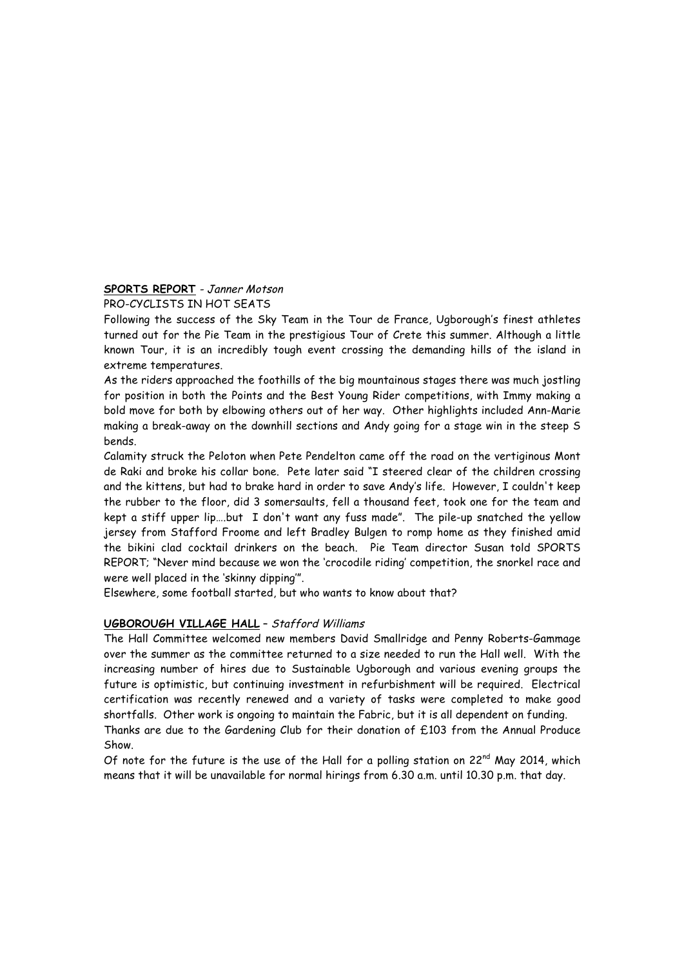# **SPORTS REPORT** - Janner Motson

#### PRO-CYCLISTS IN HOT SEATS

Following the success of the Sky Team in the Tour de France, Ugborough's finest athletes turned out for the Pie Team in the prestigious Tour of Crete this summer. Although a little known Tour, it is an incredibly tough event crossing the demanding hills of the island in extreme temperatures.

As the riders approached the foothills of the big mountainous stages there was much jostling for position in both the Points and the Best Young Rider competitions, with Immy making a bold move for both by elbowing others out of her way. Other highlights included Ann-Marie making a break-away on the downhill sections and Andy going for a stage win in the steep S bends.

Calamity struck the Peloton when Pete Pendelton came off the road on the vertiginous Mont de Raki and broke his collar bone. Pete later said "I steered clear of the children crossing and the kittens, but had to brake hard in order to save Andy's life. However, I couldn't keep the rubber to the floor, did 3 somersaults, fell a thousand feet, took one for the team and kept a stiff upper lip….but I don't want any fuss made". The pile-up snatched the yellow jersey from Stafford Froome and left Bradley Bulgen to romp home as they finished amid the bikini clad cocktail drinkers on the beach. Pie Team director Susan told SPORTS REPORT; "Never mind because we won the 'crocodile riding' competition, the snorkel race and were well placed in the 'skinny dipping'".

Elsewhere, some football started, but who wants to know about that?

## **UGBOROUGH VILLAGE HALL** – Stafford Williams

The Hall Committee welcomed new members David Smallridge and Penny Roberts-Gammage over the summer as the committee returned to a size needed to run the Hall well. With the increasing number of hires due to Sustainable Ugborough and various evening groups the future is optimistic, but continuing investment in refurbishment will be required. Electrical certification was recently renewed and a variety of tasks were completed to make good shortfalls. Other work is ongoing to maintain the Fabric, but it is all dependent on funding. Thanks are due to the Gardening Club for their donation of £103 from the Annual Produce Show.

Of note for the future is the use of the Hall for a polling station on  $22^{nd}$  May 2014, which means that it will be unavailable for normal hirings from 6.30 a.m. until 10.30 p.m. that day.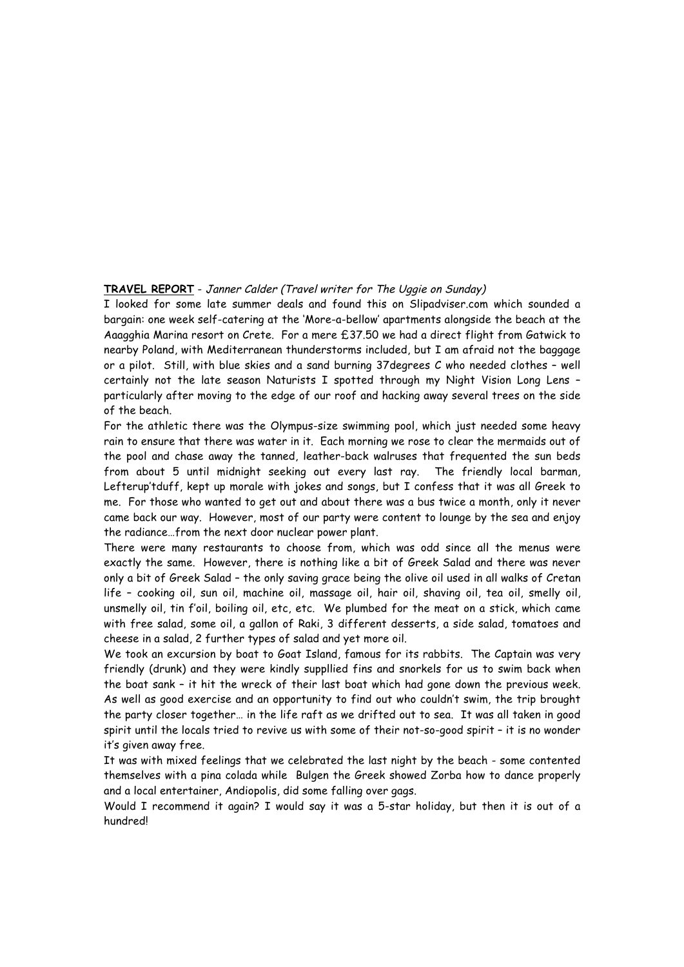#### **TRAVEL REPORT** - Janner Calder (Travel writer for The Uggie on Sunday)

I looked for some late summer deals and found this on Slipadviser.com which sounded a bargain: one week self-catering at the 'More-a-bellow' apartments alongside the beach at the Aaagghia Marina resort on Crete. For a mere £37.50 we had a direct flight from Gatwick to nearby Poland, with Mediterranean thunderstorms included, but I am afraid not the baggage or a pilot. Still, with blue skies and a sand burning 37degrees C who needed clothes – well certainly not the late season Naturists I spotted through my Night Vision Long Lens – particularly after moving to the edge of our roof and hacking away several trees on the side of the beach.

For the athletic there was the Olympus-size swimming pool, which just needed some heavy rain to ensure that there was water in it. Each morning we rose to clear the mermaids out of the pool and chase away the tanned, leather-back walruses that frequented the sun beds from about 5 until midnight seeking out every last ray. The friendly local barman, Lefterup'tduff, kept up morale with jokes and songs, but I confess that it was all Greek to me. For those who wanted to get out and about there was a bus twice a month, only it never came back our way. However, most of our party were content to lounge by the sea and enjoy the radiance…from the next door nuclear power plant.

There were many restaurants to choose from, which was odd since all the menus were exactly the same. However, there is nothing like a bit of Greek Salad and there was never only a bit of Greek Salad – the only saving grace being the olive oil used in all walks of Cretan life – cooking oil, sun oil, machine oil, massage oil, hair oil, shaving oil, tea oil, smelly oil, unsmelly oil, tin f'oil, boiling oil, etc, etc. We plumbed for the meat on a stick, which came with free salad, some oil, a gallon of Raki, 3 different desserts, a side salad, tomatoes and cheese in a salad, 2 further types of salad and yet more oil.

We took an excursion by boat to Goat Island, famous for its rabbits. The Captain was very friendly (drunk) and they were kindly suppllied fins and snorkels for us to swim back when the boat sank – it hit the wreck of their last boat which had gone down the previous week. As well as good exercise and an opportunity to find out who couldn't swim, the trip brought the party closer together… in the life raft as we drifted out to sea. It was all taken in good spirit until the locals tried to revive us with some of their not-so-good spirit – it is no wonder it's given away free.

It was with mixed feelings that we celebrated the last night by the beach - some contented themselves with a pina colada while Bulgen the Greek showed Zorba how to dance properly and a local entertainer, Andiopolis, did some falling over gags.

Would I recommend it again? I would say it was a 5-star holiday, but then it is out of a hundred!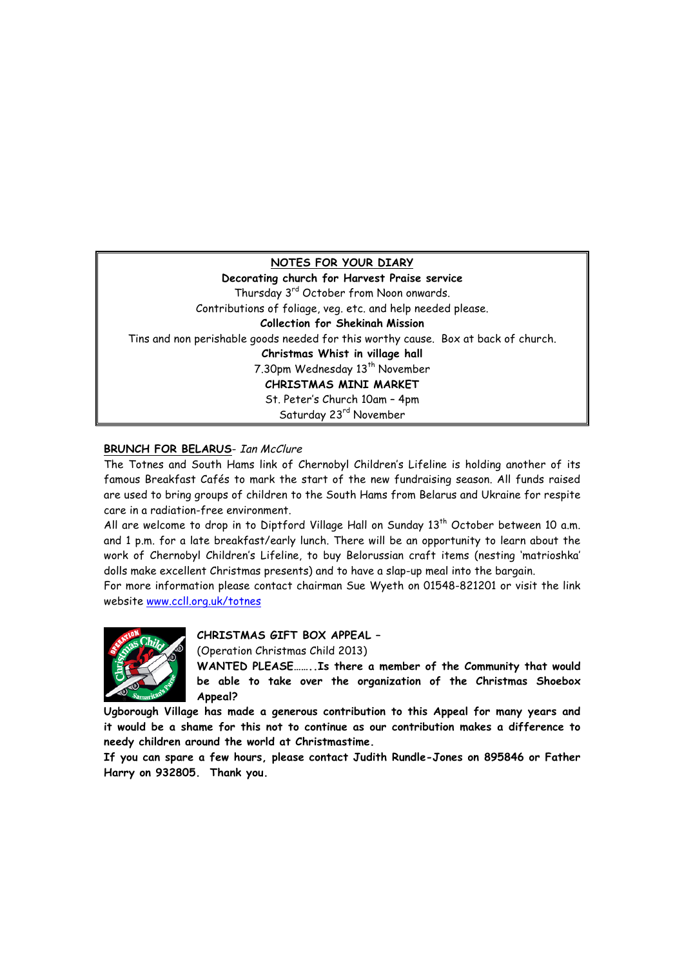## **NOTES FOR YOUR DIARY**

**Decorating church for Harvest Praise service** Thursday 3<sup>rd</sup> October from Noon onwards. Contributions of foliage, veg. etc. and help needed please. **Collection for Shekinah Mission** Tins and non perishable goods needed for this worthy cause. Box at back of church. **Christmas Whist in village hall** 7.30pm Wednesday 13<sup>th</sup> November **CHRISTMAS MINI MARKET** St. Peter's Church 10am – 4pm Saturday 23rd November

# **BRUNCH FOR BELARUS- Ian McClure**

The Totnes and South Hams link of Chernobyl Children's Lifeline is holding another of its famous Breakfast Cafés to mark the start of the new fundraising season. All funds raised are used to bring groups of children to the South Hams from Belarus and Ukraine for respite care in a radiation-free environment.

All are welcome to drop in to Diptford Village Hall on Sunday  $13<sup>th</sup>$  October between 10 a.m. and 1 p.m. for a late breakfast/early lunch. There will be an opportunity to learn about the work of Chernobyl Children's Lifeline, to buy Belorussian craft items (nesting 'matrioshka' dolls make excellent Christmas presents) and to have a slap-up meal into the bargain.

For more information please contact chairman Sue Wyeth on 01548-821201 or visit the link website www.ccll.org.uk/totnes



**CHRISTMAS GIFT BOX APPEAL –**

(Operation Christmas Child 2013)

**WANTED PLEASE……..Is there a member of the Community that would be able to take over the organization of the Christmas Shoebox Appeal?**

**Ugborough Village has made a generous contribution to this Appeal for many years and it would be a shame for this not to continue as our contribution makes a difference to needy children around the world at Christmastime.** 

**If you can spare a few hours, please contact Judith Rundle-Jones on 895846 or Father Harry on 932805. Thank you.**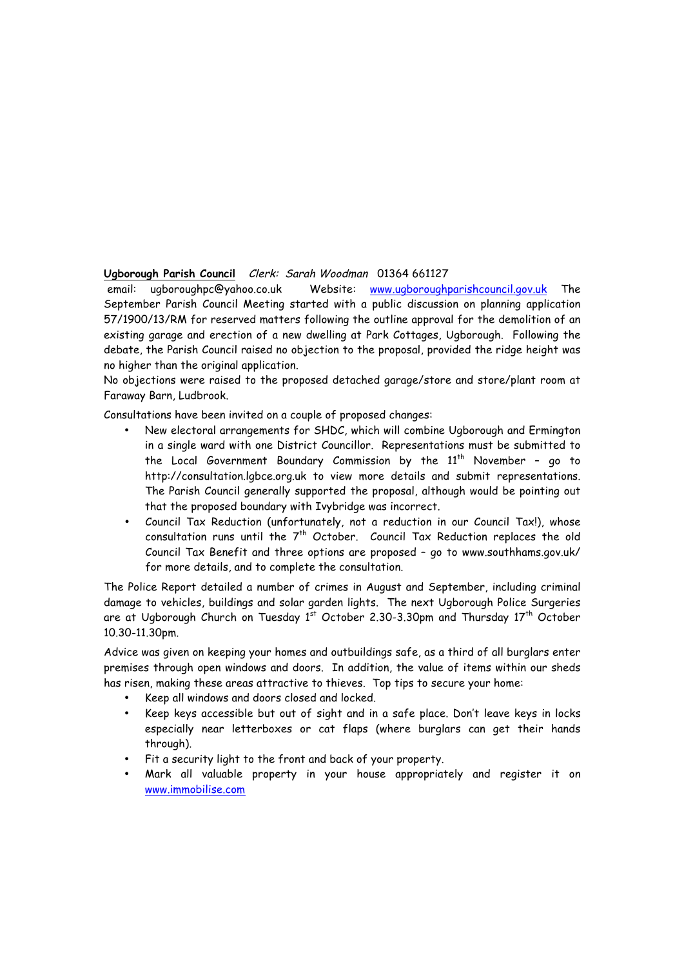## **Ugborough Parish Council** Clerk: Sarah Woodman 01364 661127

email: ugboroughpc@yahoo.co.uk Website: www.ugboroughparishcouncil.gov.uk The September Parish Council Meeting started with a public discussion on planning application 57/1900/13/RM for reserved matters following the outline approval for the demolition of an existing garage and erection of a new dwelling at Park Cottages, Ugborough. Following the debate, the Parish Council raised no objection to the proposal, provided the ridge height was no higher than the original application.

No objections were raised to the proposed detached garage/store and store/plant room at Faraway Barn, Ludbrook.

Consultations have been invited on a couple of proposed changes:

- New electoral arrangements for SHDC, which will combine Ugborough and Ermington in a single ward with one District Councillor. Representations must be submitted to the Local Government Boundary Commission by the  $11<sup>th</sup>$  November - go to http://consultation.lgbce.org.uk to view more details and submit representations. The Parish Council generally supported the proposal, although would be pointing out that the proposed boundary with Ivybridge was incorrect.
- Council Tax Reduction (unfortunately, not a reduction in our Council Tax!), whose consultation runs until the  $7<sup>th</sup>$  October. Council Tax Reduction replaces the old Council Tax Benefit and three options are proposed – go to www.southhams.gov.uk/ for more details, and to complete the consultation.

The Police Report detailed a number of crimes in August and September, including criminal damage to vehicles, buildings and solar garden lights. The next Ugborough Police Surgeries are at Ugborough Church on Tuesday 1st October 2.30-3.30pm and Thursday 17<sup>th</sup> October 10.30-11.30pm.

Advice was given on keeping your homes and outbuildings safe, as a third of all burglars enter premises through open windows and doors. In addition, the value of items within our sheds has risen, making these areas attractive to thieves. Top tips to secure your home:

- Keep all windows and doors closed and locked.
- Keep keys accessible but out of sight and in a safe place. Don't leave keys in locks especially near letterboxes or cat flaps (where burglars can get their hands through).
- Fit a security light to the front and back of your property.
- Mark all valuable property in your house appropriately and register it on www.immobilise.com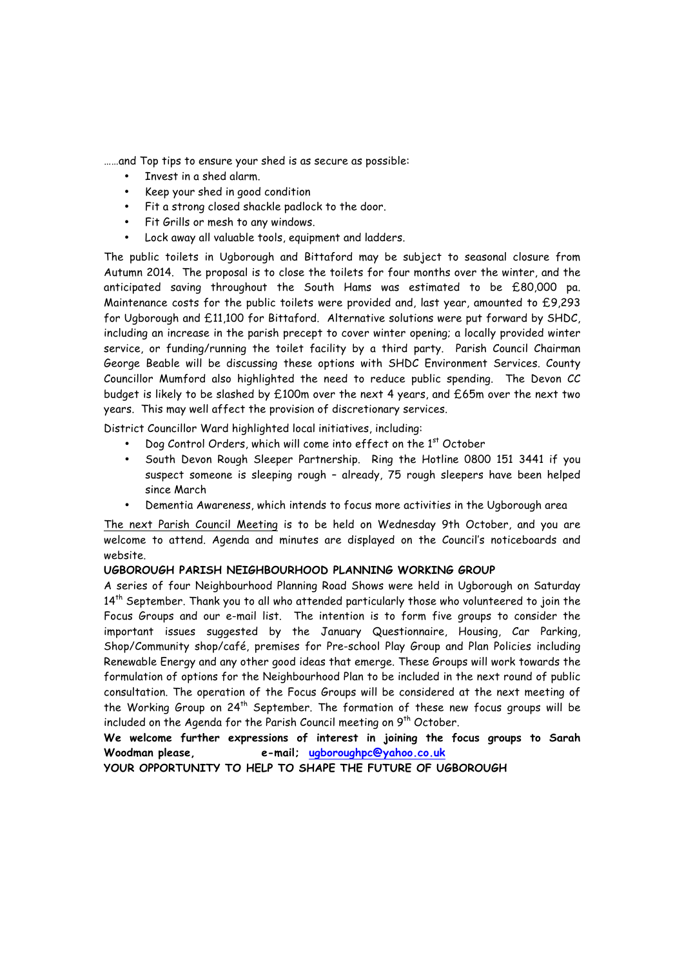……and Top tips to ensure your shed is as secure as possible:

- Invest in a shed alarm.
- Keep your shed in good condition
- Fit a strong closed shackle padlock to the door.
- Fit Grills or mesh to any windows.
- Lock away all valuable tools, equipment and ladders.

The public toilets in Ugborough and Bittaford may be subject to seasonal closure from Autumn 2014. The proposal is to close the toilets for four months over the winter, and the anticipated saving throughout the South Hams was estimated to be £80,000 pa. Maintenance costs for the public toilets were provided and, last year, amounted to £9,293 for Ugborough and £11,100 for Bittaford. Alternative solutions were put forward by SHDC, including an increase in the parish precept to cover winter opening; a locally provided winter service, or funding/running the toilet facility by a third party. Parish Council Chairman George Beable will be discussing these options with SHDC Environment Services. County Councillor Mumford also highlighted the need to reduce public spending. The Devon CC budget is likely to be slashed by £100m over the next 4 years, and £65m over the next two years. This may well affect the provision of discretionary services.

District Councillor Ward highlighted local initiatives, including:

- Dog Control Orders, which will come into effect on the 1st October
- South Devon Rough Sleeper Partnership. Ring the Hotline 0800 151 3441 if you suspect someone is sleeping rough – already, 75 rough sleepers have been helped since March
- Dementia Awareness, which intends to focus more activities in the Ugborough area

The next Parish Council Meeting is to be held on Wednesday 9th October, and you are welcome to attend. Agenda and minutes are displayed on the Council's noticeboards and website.

## **UGBOROUGH PARISH NEIGHBOURHOOD PLANNING WORKING GROUP**

A series of four Neighbourhood Planning Road Shows were held in Ugborough on Saturday  $14<sup>th</sup>$  September. Thank you to all who attended particularly those who volunteered to join the Focus Groups and our e-mail list. The intention is to form five groups to consider the important issues suggested by the January Questionnaire, Housing, Car Parking, Shop/Community shop/café, premises for Pre-school Play Group and Plan Policies including Renewable Energy and any other good ideas that emerge. These Groups will work towards the formulation of options for the Neighbourhood Plan to be included in the next round of public consultation. The operation of the Focus Groups will be considered at the next meeting of the Working Group on  $24<sup>th</sup>$  September. The formation of these new focus groups will be included on the Agenda for the Parish Council meeting on  $9<sup>th</sup>$  October.

**We welcome further expressions of interest in joining the focus groups to Sarah Woodman please, e-mail; ugboroughpc@yahoo.co.uk** 

**YOUR OPPORTUNITY TO HELP TO SHAPE THE FUTURE OF UGBOROUGH**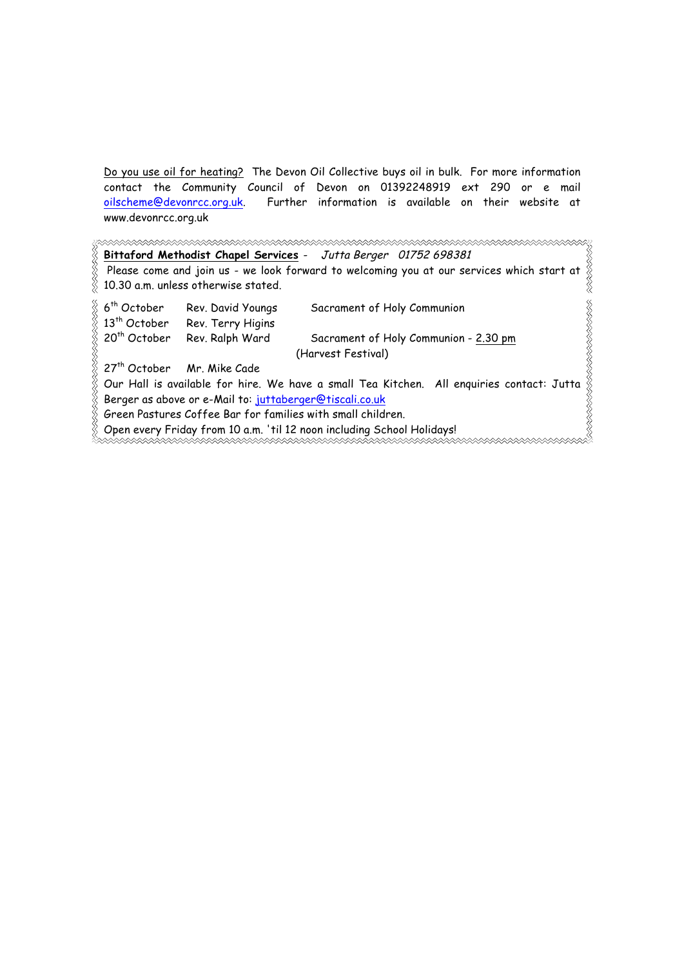Do you use oil for heating? The Devon Oil Collective buys oil in bulk. For more information contact the Community Council of Devon on 01392248919 ext 290 or e mail oilscheme@devonrcc.org.uk. Further information is available on their website at www.devonrcc.org.uk

**Bittaford Methodist Chapel Services** - Jutta Berger 01752 698381 Please come and join us - we look forward to welcoming you at our services which start at 10.30 a.m. unless otherwise stated. **RRRRRRRR** 6th October Rev. David Youngs Sacrament of Holy Communion 13<sup>th</sup> October Rev. Terry Higins 20<sup>th</sup> October Rev. Ralph Ward Sacrament of Holy Communion - 2.30 pm (Harvest Festival) 27<sup>th</sup> October Mr. Mike Cade Our Hall is available for hire. We have a small Tea Kitchen. All enquiries contact: Jutta Berger as above or e-Mail to: juttaberger@tiscali.co.uk

Green Pastures Coffee Bar for families with small children.

Open every Friday from 10 a.m. 'til 12 noon including School Holidays!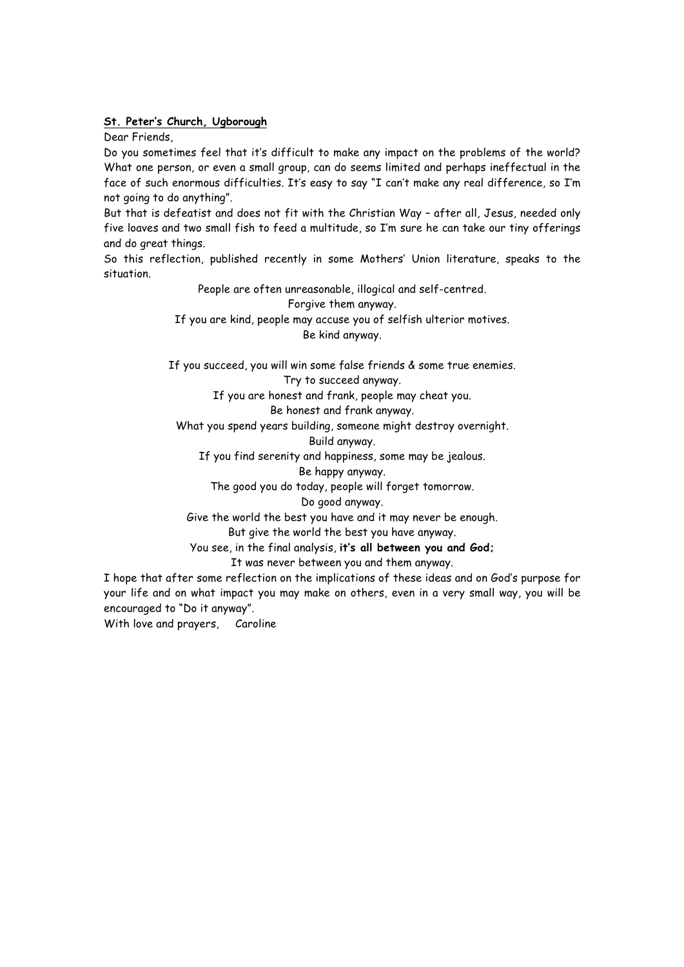#### **St. Peter's Church, Ugborough**

Dear Friends,

Do you sometimes feel that it's difficult to make any impact on the problems of the world? What one person, or even a small group, can do seems limited and perhaps ineffectual in the face of such enormous difficulties. It's easy to say "I can't make any real difference, so I'm not going to do anything".

But that is defeatist and does not fit with the Christian Way – after all, Jesus, needed only five loaves and two small fish to feed a multitude, so I'm sure he can take our tiny offerings and do great things.

So this reflection, published recently in some Mothers' Union literature, speaks to the situation.

> People are often unreasonable, illogical and self-centred. Forgive them anyway. If you are kind, people may accuse you of selfish ulterior motives. Be kind anyway.

If you succeed, you will win some false friends & some true enemies.

Try to succeed anyway.

If you are honest and frank, people may cheat you.

Be honest and frank anyway.

What you spend years building, someone might destroy overnight.

Build anyway.

If you find serenity and happiness, some may be jealous.

Be happy anyway.

The good you do today, people will forget tomorrow.

Do good anyway.

Give the world the best you have and it may never be enough.

But give the world the best you have anyway.

You see, in the final analysis, **it's all between you and God;**

It was never between you and them anyway.

I hope that after some reflection on the implications of these ideas and on God's purpose for your life and on what impact you may make on others, even in a very small way, you will be encouraged to "Do it anyway".

With love and prayers, Caroline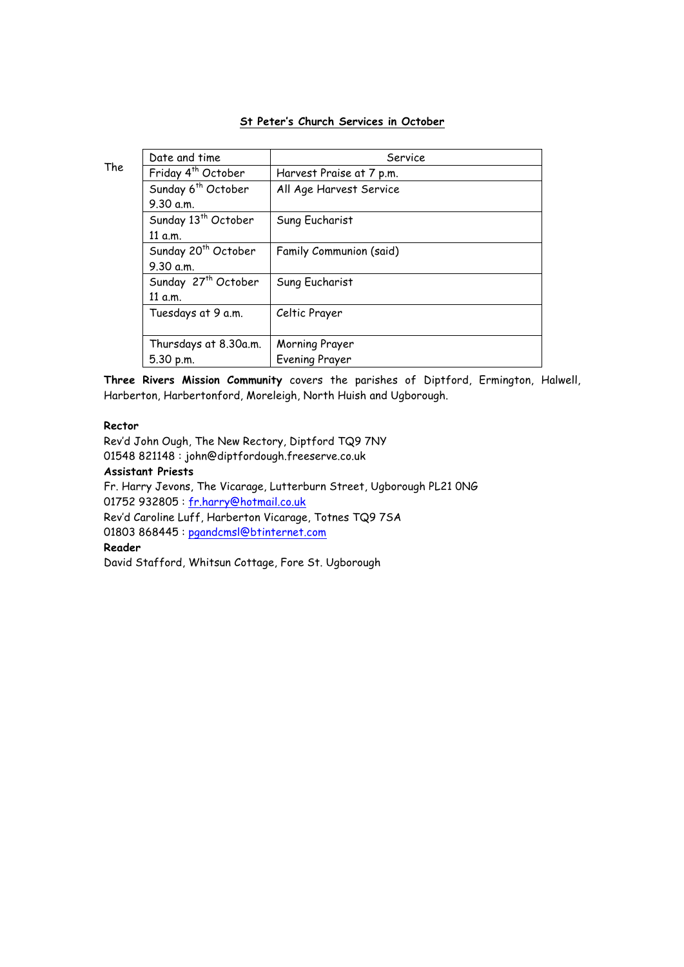# **St Peter's Church Services in October**

| ٩<br>۰.<br>w<br>۰. |
|--------------------|
|--------------------|

| Date and time                   | Service                  |
|---------------------------------|--------------------------|
| Friday 4 <sup>th</sup> October  | Harvest Praise at 7 p.m. |
| Sunday 6 <sup>th</sup> October  | All Age Harvest Service  |
| 9.30 a.m.                       |                          |
| Sunday 13 <sup>th</sup> October | Sung Eucharist           |
| 11 a.m.                         |                          |
| Sunday 20 <sup>th</sup> October | Family Communion (said)  |
| 9.30 a.m.                       |                          |
| Sunday 27 <sup>th</sup> October | Sung Eucharist           |
| 11 a.m.                         |                          |
| Tuesdays at 9 a.m.              | Celtic Prayer            |
|                                 |                          |
| Thursdays at 8.30a.m.           | Morning Prayer           |
| 5.30 p.m.                       | <b>Evening Prayer</b>    |

**Three Rivers Mission Community** covers the parishes of Diptford, Ermington, Halwell, Harberton, Harbertonford, Moreleigh, North Huish and Ugborough.

#### **Rector**

Rev'd John Ough, The New Rectory, Diptford TQ9 7NY 01548 821148 : john@diptfordough.freeserve.co.uk

#### **Assistant Priests**

Fr. Harry Jevons, The Vicarage, Lutterburn Street, Ugborough PL21 0NG 01752 932805 : fr.harry@hotmail.co.uk

Rev'd Caroline Luff, Harberton Vicarage, Totnes TQ9 7SA

01803 868445 : pgandcmsl@btinternet.com

# **Reader**

David Stafford, Whitsun Cottage, Fore St. Ugborough